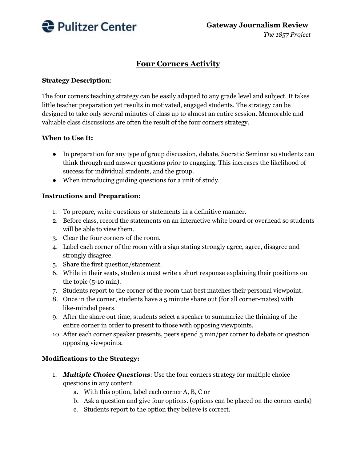

# **Four Corners Activity**

#### **Strategy Description**:

The four corners teaching strategy can be easily adapted to any grade level and subject. It takes little teacher preparation yet results in motivated, engaged students. The strategy can be designed to take only several minutes of class up to almost an entire session. Memorable and valuable class discussions are often the result of the four corners strategy.

#### **When to Use It:**

- In preparation for any type of group discussion, debate, Socratic Seminar so students can think through and answer questions prior to engaging. This increases the likelihood of success for individual students, and the group.
- When introducing guiding questions for a unit of study.

#### **Instructions and Preparation:**

- 1. To prepare, write questions or statements in a definitive manner.
- 2. Before class, record the statements on an interactive white board or overhead so students will be able to view them.
- 3. Clear the four corners of the room.
- 4. Label each corner of the room with a sign stating strongly agree, agree, disagree and strongly disagree.
- 5. Share the first question/statement.
- 6. While in their seats, students must write a short response explaining their positions on the topic (5-10 min).
- 7. Students report to the corner of the room that best matches their personal viewpoint.
- 8. Once in the corner, students have a 5 minute share out (for all corner-mates) with like-minded peers.
- 9. After the share out time, students select a speaker to summarize the thinking of the entire corner in order to present to those with opposing viewpoints.
- 10. After each corner speaker presents, peers spend 5 min/per corner to debate or question opposing viewpoints.

## **Modifications to the Strategy:**

- 1. *Multiple Choice Questions*: Use the four corners strategy for multiple choice questions in any content.
	- a. With this option, label each corner A, B, C or
	- b. Ask a question and give four options. (options can be placed on the corner cards)
	- c. Students report to the option they believe is correct.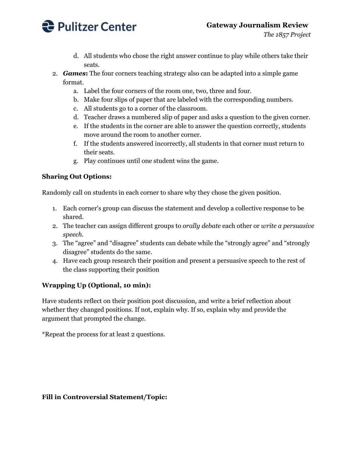

- d. All students who chose the right answer continue to play while others take their seats.
- 2. *Games***:** The four corners teaching strategy also can be adapted into a simple game format.
	- a. Label the four corners of the room one, two, three and four.
	- b. Make four slips of paper that are labeled with the corresponding numbers.
	- c. All students go to a corner of the classroom.
	- d. Teacher draws a numbered slip of paper and asks a question to the given corner.
	- e. If the students in the corner are able to answer the question correctly, students move around the room to another corner.
	- f. If the students answered incorrectly, all students in that corner must return to their seats.
	- g. Play continues until one student wins the game.

# **Sharing Out Options:**

Randomly call on students in each corner to share why they chose the given position.

- 1. Each corner's group can discuss the statement and develop a collective response to be shared.
- 2. The teacher can assign different groups to *orally debate* each other or *write a persuasive speech.*
- 3. The "agree" and "disagree" students can debate while the "strongly agree" and "strongly disagree" students do the same.
- 4. Have each group research their position and present a persuasive speech to the rest of the class supporting their position

# **Wrapping Up (Optional, 10 min):**

Have students reflect on their position post discussion, and write a brief reflection about whether they changed positions. If not, explain why. If so, explain why and provide the argument that prompted the change.

\*Repeat the process for at least 2 questions.

## **Fill in Controversial Statement/Topic:**